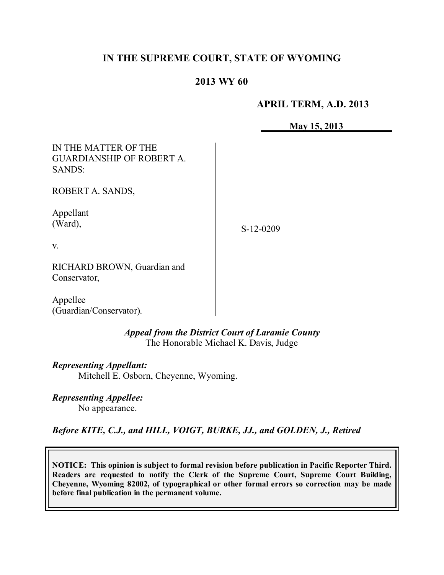# **IN THE SUPREME COURT, STATE OF WYOMING**

# **2013 WY 60**

#### **APRIL TERM, A.D. 2013**

**May 15, 2013**

| IN THE MATTER OF THE<br><b>GUARDIANSHIP OF ROBERT A.</b><br><b>SANDS:</b> |           |
|---------------------------------------------------------------------------|-----------|
| ROBERT A. SANDS,                                                          |           |
| Appellant<br>(Ward),                                                      | S-12-0209 |
| $V_{\cdot}$                                                               |           |
| RICHARD BROWN, Guardian and<br>Conservator,                               |           |
| Appellee<br>(Guardian/Conservator).                                       |           |

*Appeal from the District Court of Laramie County* The Honorable Michael K. Davis, Judge

*Representing Appellant:* Mitchell E. Osborn, Cheyenne, Wyoming.

*Representing Appellee:* No appearance.

*Before KITE, C.J., and HILL, VOIGT, BURKE, JJ., and GOLDEN, J., Retired*

**NOTICE: This opinion is subject to formal revision before publication in Pacific Reporter Third. Readers are requested to notify the Clerk of the Supreme Court, Supreme Court Building, Cheyenne, Wyoming 82002, of typographical or other formal errors so correction may be made before final publication in the permanent volume.**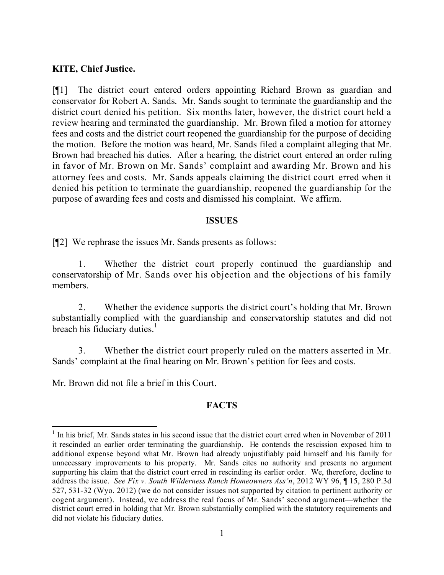#### **KITE, Chief Justice.**

[¶1] The district court entered orders appointing Richard Brown as guardian and conservator for Robert A. Sands. Mr. Sands sought to terminate the guardianship and the district court denied his petition. Six months later, however, the district court held a review hearing and terminated the guardianship. Mr. Brown filed a motion for attorney fees and costs and the district court reopened the guardianship for the purpose of deciding the motion. Before the motion was heard, Mr. Sands filed a complaint alleging that Mr. Brown had breached his duties. After a hearing, the district court entered an order ruling in favor of Mr. Brown on Mr. Sands' complaint and awarding Mr. Brown and his attorney fees and costs. Mr. Sands appeals claiming the district court erred when it denied his petition to terminate the guardianship, reopened the guardianship for the purpose of awarding fees and costs and dismissed his complaint. We affirm.

#### **ISSUES**

[¶2] We rephrase the issues Mr. Sands presents as follows:

1. Whether the district court properly continued the guardianship and conservatorship of Mr. Sands over his objection and the objections of his family members.

2. Whether the evidence supports the district court's holding that Mr. Brown substantially complied with the guardianship and conservatorship statutes and did not breach his fiduciary duties. $<sup>1</sup>$ </sup>

3. Whether the district court properly ruled on the matters asserted in Mr. Sands' complaint at the final hearing on Mr. Brown's petition for fees and costs.

Mr. Brown did not file a brief in this Court.

 $\overline{a}$ 

# **FACTS**

<sup>&</sup>lt;sup>1</sup> In his brief, Mr. Sands states in his second issue that the district court erred when in November of 2011 it rescinded an earlier order terminating the guardianship. He contends the rescission exposed him to additional expense beyond what Mr. Brown had already unjustifiably paid himself and his family for unnecessary improvements to his property. Mr. Sands cites no authority and presents no argument supporting his claim that the district court erred in rescinding its earlier order. We, therefore, decline to address the issue. *See Fix v. South Wilderness Ranch Homeowners Ass'n*, 2012 WY 96, ¶ 15, 280 P.3d 527, 531-32 (Wyo. 2012) (we do not consider issues not supported by citation to pertinent authority or cogent argument). Instead, we address the real focus of Mr. Sands' second argument—whether the district court erred in holding that Mr. Brown substantially complied with the statutory requirements and did not violate his fiduciary duties.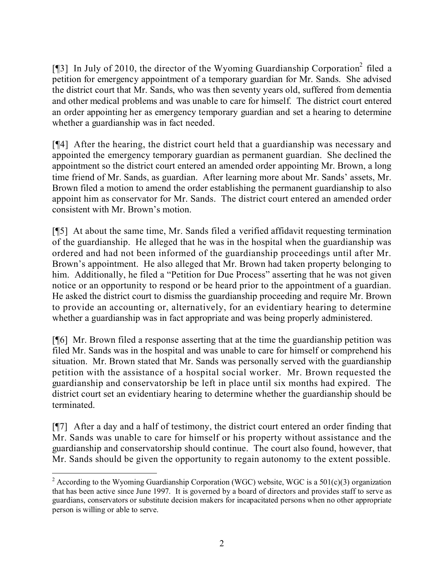[¶3] In July of 2010, the director of the Wyoming Guardianship Corporation<sup>2</sup> filed a petition for emergency appointment of a temporary guardian for Mr. Sands. She advised the district court that Mr. Sands, who was then seventy years old, suffered from dementia and other medical problems and was unable to care for himself. The district court entered an order appointing her as emergency temporary guardian and set a hearing to determine whether a guardianship was in fact needed.

[¶4] After the hearing, the district court held that a guardianship was necessary and appointed the emergency temporary guardian as permanent guardian. She declined the appointment so the district court entered an amended order appointing Mr. Brown, a long time friend of Mr. Sands, as guardian. After learning more about Mr. Sands' assets, Mr. Brown filed a motion to amend the order establishing the permanent guardianship to also appoint him as conservator for Mr. Sands. The district court entered an amended order consistent with Mr. Brown's motion.

[¶5] At about the same time, Mr. Sands filed a verified affidavit requesting termination of the guardianship. He alleged that he was in the hospital when the guardianship was ordered and had not been informed of the guardianship proceedings until after Mr. Brown's appointment. He also alleged that Mr. Brown had taken property belonging to him. Additionally, he filed a "Petition for Due Process" asserting that he was not given notice or an opportunity to respond or be heard prior to the appointment of a guardian. He asked the district court to dismiss the guardianship proceeding and require Mr. Brown to provide an accounting or, alternatively, for an evidentiary hearing to determine whether a guardianship was in fact appropriate and was being properly administered.

[¶6] Mr. Brown filed a response asserting that at the time the guardianship petition was filed Mr. Sands was in the hospital and was unable to care for himself or comprehend his situation. Mr. Brown stated that Mr. Sands was personally served with the guardianship petition with the assistance of a hospital social worker. Mr. Brown requested the guardianship and conservatorship be left in place until six months had expired. The district court set an evidentiary hearing to determine whether the guardianship should be terminated.

[¶7] After a day and a half of testimony, the district court entered an order finding that Mr. Sands was unable to care for himself or his property without assistance and the guardianship and conservatorship should continue. The court also found, however, that Mr. Sands should be given the opportunity to regain autonomy to the extent possible.

<sup>&</sup>lt;sup>2</sup> According to the Wyoming Guardianship Corporation (WGC) website, WGC is a  $501(c)(3)$  organization that has been active since June 1997. It is governed by a board of directors and provides staff to serve as guardians, conservators or substitute decision makers for incapacitated persons when no other appropriate person is willing or able to serve.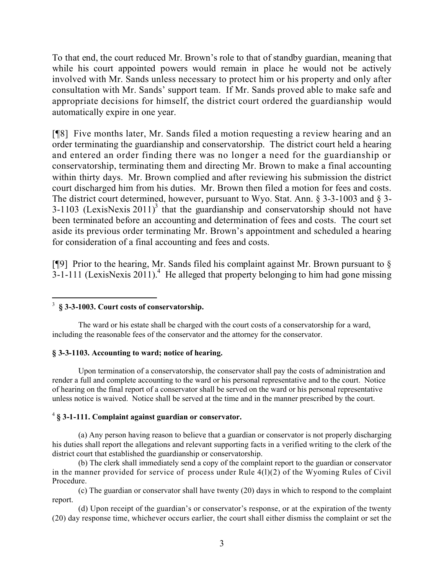To that end, the court reduced Mr. Brown's role to that of standby guardian, meaning that while his court appointed powers would remain in place he would not be actively involved with Mr. Sands unless necessary to protect him or his property and only after consultation with Mr. Sands' support team. If Mr. Sands proved able to make safe and appropriate decisions for himself, the district court ordered the guardianship would automatically expire in one year.

[¶8] Five months later, Mr. Sands filed a motion requesting a review hearing and an order terminating the guardianship and conservatorship. The district court held a hearing and entered an order finding there was no longer a need for the guardianship or conservatorship, terminating them and directing Mr. Brown to make a final accounting within thirty days. Mr. Brown complied and after reviewing his submission the district court discharged him from his duties. Mr. Brown then filed a motion for fees and costs. The district court determined, however, pursuant to Wyo. Stat. Ann. § 3-3-1003 and § 3-  $3-1103$  (LexisNexis  $2011$ )<sup>3</sup> that the guardianship and conservatorship should not have been terminated before an accounting and determination of fees and costs. The court set aside its previous order terminating Mr. Brown's appointment and scheduled a hearing for consideration of a final accounting and fees and costs.

[ $[$ [9] Prior to the hearing, Mr. Sands filed his complaint against Mr. Brown pursuant to  $\delta$  $3-1-111$  (LexisNexis 2011).<sup>4</sup> He alleged that property belonging to him had gone missing

#### $\overline{a}$ 3 **§ 3-3-1003. Court costs of conservatorship.**

The ward or his estate shall be charged with the court costs of a conservatorship for a ward, including the reasonable fees of the conservator and the attorney for the conservator.

#### **§ 3-3-1103. Accounting to ward; notice of hearing.**

Upon termination of a conservatorship, the conservator shall pay the costs of administration and render a full and complete accounting to the ward or his personal representative and to the court. Notice of hearing on the final report of a conservator shall be served on the ward or his personal representative unless notice is waived. Notice shall be served at the time and in the manner prescribed by the court.

#### 4 **§ 3-1-111. Complaint against guardian or conservator.**

(a) Any person having reason to believe that a guardian or conservator is not properly discharging his duties shall report the allegations and relevant supporting facts in a verified writing to the clerk of the district court that established the guardianship or conservatorship.

(b) The clerk shall immediately send a copy of the complaint report to the guardian or conservator in the manner provided for service of process under Rule 4(l)(2) of the Wyoming Rules of Civil Procedure.

(c) The guardian or conservator shall have twenty (20) days in which to respond to the complaint report.

(d) Upon receipt of the guardian's or conservator's response, or at the expiration of the twenty (20) day response time, whichever occurs earlier, the court shall either dismiss the complaint or set the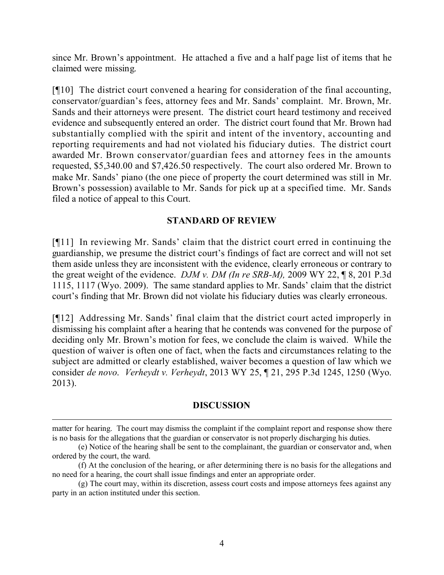since Mr. Brown's appointment. He attached a five and a half page list of items that he claimed were missing.

[¶10] The district court convened a hearing for consideration of the final accounting, conservator/guardian's fees, attorney fees and Mr. Sands' complaint. Mr. Brown, Mr. Sands and their attorneys were present. The district court heard testimony and received evidence and subsequently entered an order. The district court found that Mr. Brown had substantially complied with the spirit and intent of the inventory, accounting and reporting requirements and had not violated his fiduciary duties. The district court awarded Mr. Brown conservator/guardian fees and attorney fees in the amounts requested, \$5,340.00 and \$7,426.50 respectively. The court also ordered Mr. Brown to make Mr. Sands' piano (the one piece of property the court determined was still in Mr. Brown's possession) available to Mr. Sands for pick up at a specified time. Mr. Sands filed a notice of appeal to this Court.

# **STANDARD OF REVIEW**

[¶11] In reviewing Mr. Sands' claim that the district court erred in continuing the guardianship, we presume the district court's findings of fact are correct and will not set them aside unless they are inconsistent with the evidence, clearly erroneous or contrary to the great weight of the evidence. *DJM v. DM (In re SRB-M),* 2009 WY 22, ¶ 8, 201 P.3d 1115, 1117 (Wyo. 2009). The same standard applies to Mr. Sands' claim that the district court's finding that Mr. Brown did not violate his fiduciary duties was clearly erroneous.

[¶12] Addressing Mr. Sands' final claim that the district court acted improperly in dismissing his complaint after a hearing that he contends was convened for the purpose of deciding only Mr. Brown's motion for fees, we conclude the claim is waived. While the question of waiver is often one of fact, when the facts and circumstances relating to the subject are admitted or clearly established, waiver becomes a question of law which we consider *de novo*. *Verheydt v. Verheydt*, 2013 WY 25, ¶ 21, 295 P.3d 1245, 1250 (Wyo. 2013).

# **DISCUSSION**

matter for hearing. The court may dismiss the complaint if the complaint report and response show there is no basis for the allegations that the guardian or conservator is not properly discharging his duties.

<sup>(</sup>e) Notice of the hearing shall be sent to the complainant, the guardian or conservator and, when ordered by the court, the ward.

<sup>(</sup>f) At the conclusion of the hearing, or after determining there is no basis for the allegations and no need for a hearing, the court shall issue findings and enter an appropriate order.

<sup>(</sup>g) The court may, within its discretion, assess court costs and impose attorneys fees against any party in an action instituted under this section.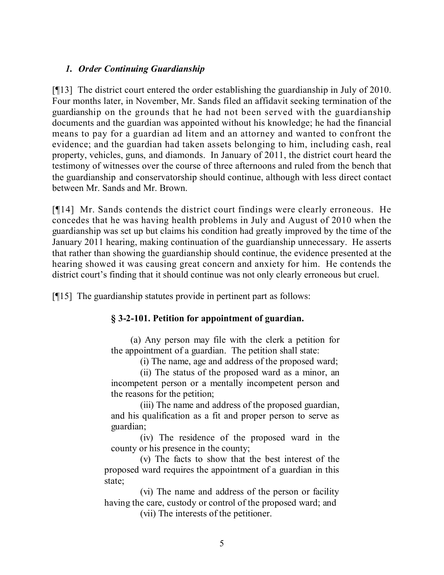# *1. Order Continuing Guardianship*

[¶13] The district court entered the order establishing the guardianship in July of 2010. Four months later, in November, Mr. Sands filed an affidavit seeking termination of the guardianship on the grounds that he had not been served with the guardianship documents and the guardian was appointed without his knowledge; he had the financial means to pay for a guardian ad litem and an attorney and wanted to confront the evidence; and the guardian had taken assets belonging to him, including cash, real property, vehicles, guns, and diamonds. In January of 2011, the district court heard the testimony of witnesses over the course of three afternoons and ruled from the bench that the guardianship and conservatorship should continue, although with less direct contact between Mr. Sands and Mr. Brown.

[¶14] Mr. Sands contends the district court findings were clearly erroneous. He concedes that he was having health problems in July and August of 2010 when the guardianship was set up but claims his condition had greatly improved by the time of the January 2011 hearing, making continuation of the guardianship unnecessary. He asserts that rather than showing the guardianship should continue, the evidence presented at the hearing showed it was causing great concern and anxiety for him. He contends the district court's finding that it should continue was not only clearly erroneous but cruel.

[¶15] The guardianship statutes provide in pertinent part as follows:

# **§ 3-2-101. Petition for appointment of guardian.**

(a) Any person may file with the clerk a petition for the appointment of a guardian. The petition shall state:

(i) The name, age and address of the proposed ward;

(ii) The status of the proposed ward as a minor, an incompetent person or a mentally incompetent person and the reasons for the petition;

(iii) The name and address of the proposed guardian, and his qualification as a fit and proper person to serve as guardian;

(iv) The residence of the proposed ward in the county or his presence in the county;

(v) The facts to show that the best interest of the proposed ward requires the appointment of a guardian in this state;

(vi) The name and address of the person or facility having the care, custody or control of the proposed ward; and (vii) The interests of the petitioner.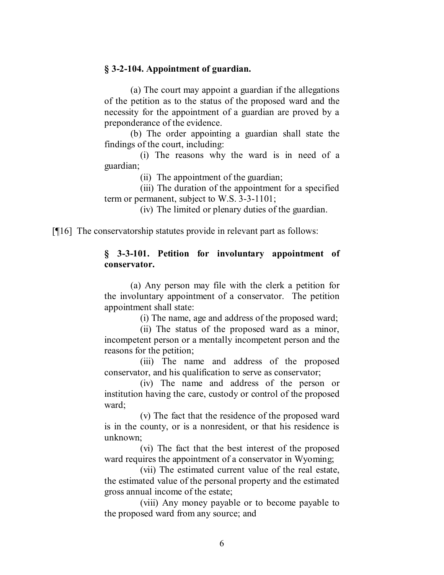#### **§ 3-2-104. Appointment of guardian.**

(a) The court may appoint a guardian if the allegations of the petition as to the status of the proposed ward and the necessity for the appointment of a guardian are proved by a preponderance of the evidence.

(b) The order appointing a guardian shall state the findings of the court, including:

(i) The reasons why the ward is in need of a guardian;

(ii) The appointment of the guardian;

(iii) The duration of the appointment for a specified term or permanent, subject to W.S. 3-3-1101;

(iv) The limited or plenary duties of the guardian.

[¶16] The conservatorship statutes provide in relevant part as follows:

#### **§ 3-3-101. Petition for involuntary appointment of conservator.**

(a) Any person may file with the clerk a petition for the involuntary appointment of a conservator. The petition appointment shall state:

(i) The name, age and address of the proposed ward;

(ii) The status of the proposed ward as a minor, incompetent person or a mentally incompetent person and the reasons for the petition;

(iii) The name and address of the proposed conservator, and his qualification to serve as conservator;

(iv) The name and address of the person or institution having the care, custody or control of the proposed ward<sup>.</sup>

(v) The fact that the residence of the proposed ward is in the county, or is a nonresident, or that his residence is unknown;

(vi) The fact that the best interest of the proposed ward requires the appointment of a conservator in Wyoming;

(vii) The estimated current value of the real estate, the estimated value of the personal property and the estimated gross annual income of the estate;

(viii) Any money payable or to become payable to the proposed ward from any source; and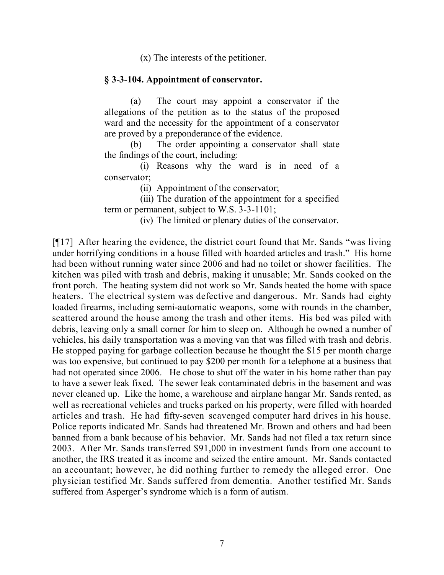(x) The interests of the petitioner.

#### **§ 3-3-104. Appointment of conservator.**

(a) The court may appoint a conservator if the allegations of the petition as to the status of the proposed ward and the necessity for the appointment of a conservator are proved by a preponderance of the evidence.

(b) The order appointing a conservator shall state the findings of the court, including:

(i) Reasons why the ward is in need of a conservator;

(ii) Appointment of the conservator;

(iii) The duration of the appointment for a specified term or permanent, subject to W.S. 3-3-1101;

(iv) The limited or plenary duties of the conservator.

[¶17] After hearing the evidence, the district court found that Mr. Sands "was living under horrifying conditions in a house filled with hoarded articles and trash." His home had been without running water since 2006 and had no toilet or shower facilities. The kitchen was piled with trash and debris, making it unusable; Mr. Sands cooked on the front porch. The heating system did not work so Mr. Sands heated the home with space heaters. The electrical system was defective and dangerous. Mr. Sands had eighty loaded firearms, including semi-automatic weapons, some with rounds in the chamber, scattered around the house among the trash and other items. His bed was piled with debris, leaving only a small corner for him to sleep on. Although he owned a number of vehicles, his daily transportation was a moving van that was filled with trash and debris. He stopped paying for garbage collection because he thought the \$15 per month charge was too expensive, but continued to pay \$200 per month for a telephone at a business that had not operated since 2006. He chose to shut off the water in his home rather than pay to have a sewer leak fixed. The sewer leak contaminated debris in the basement and was never cleaned up. Like the home, a warehouse and airplane hangar Mr. Sands rented, as well as recreational vehicles and trucks parked on his property, were filled with hoarded articles and trash. He had fifty-seven scavenged computer hard drives in his house. Police reports indicated Mr. Sands had threatened Mr. Brown and others and had been banned from a bank because of his behavior. Mr. Sands had not filed a tax return since 2003. After Mr. Sands transferred \$91,000 in investment funds from one account to another, the IRS treated it as income and seized the entire amount. Mr. Sands contacted an accountant; however, he did nothing further to remedy the alleged error. One physician testified Mr. Sands suffered from dementia. Another testified Mr. Sands suffered from Asperger's syndrome which is a form of autism.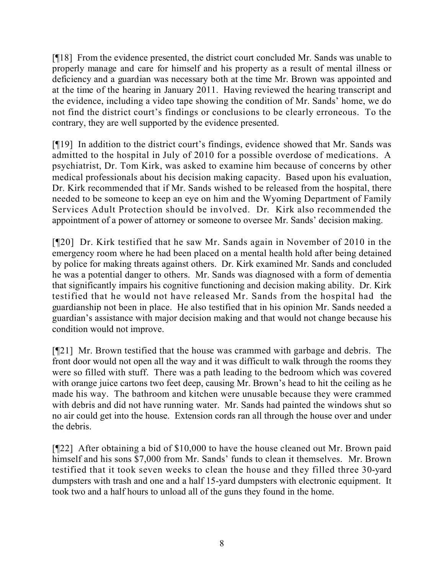[¶18] From the evidence presented, the district court concluded Mr. Sands was unable to properly manage and care for himself and his property as a result of mental illness or deficiency and a guardian was necessary both at the time Mr. Brown was appointed and at the time of the hearing in January 2011. Having reviewed the hearing transcript and the evidence, including a video tape showing the condition of Mr. Sands' home, we do not find the district court's findings or conclusions to be clearly erroneous. To the contrary, they are well supported by the evidence presented.

[¶19] In addition to the district court's findings, evidence showed that Mr. Sands was admitted to the hospital in July of 2010 for a possible overdose of medications. A psychiatrist, Dr. Tom Kirk, was asked to examine him because of concerns by other medical professionals about his decision making capacity. Based upon his evaluation, Dr. Kirk recommended that if Mr. Sands wished to be released from the hospital, there needed to be someone to keep an eye on him and the Wyoming Department of Family Services Adult Protection should be involved. Dr. Kirk also recommended the appointment of a power of attorney or someone to oversee Mr. Sands' decision making.

[¶20] Dr. Kirk testified that he saw Mr. Sands again in November of 2010 in the emergency room where he had been placed on a mental health hold after being detained by police for making threats against others. Dr. Kirk examined Mr. Sands and concluded he was a potential danger to others. Mr. Sands was diagnosed with a form of dementia that significantly impairs his cognitive functioning and decision making ability. Dr. Kirk testified that he would not have released Mr. Sands from the hospital had the guardianship not been in place. He also testified that in his opinion Mr. Sands needed a guardian's assistance with major decision making and that would not change because his condition would not improve.

[¶21] Mr. Brown testified that the house was crammed with garbage and debris. The front door would not open all the way and it was difficult to walk through the rooms they were so filled with stuff. There was a path leading to the bedroom which was covered with orange juice cartons two feet deep, causing Mr. Brown's head to hit the ceiling as he made his way. The bathroom and kitchen were unusable because they were crammed with debris and did not have running water. Mr. Sands had painted the windows shut so no air could get into the house. Extension cords ran all through the house over and under the debris.

[¶22] After obtaining a bid of \$10,000 to have the house cleaned out Mr. Brown paid himself and his sons \$7,000 from Mr. Sands' funds to clean it themselves. Mr. Brown testified that it took seven weeks to clean the house and they filled three 30-yard dumpsters with trash and one and a half 15-yard dumpsters with electronic equipment. It took two and a half hours to unload all of the guns they found in the home.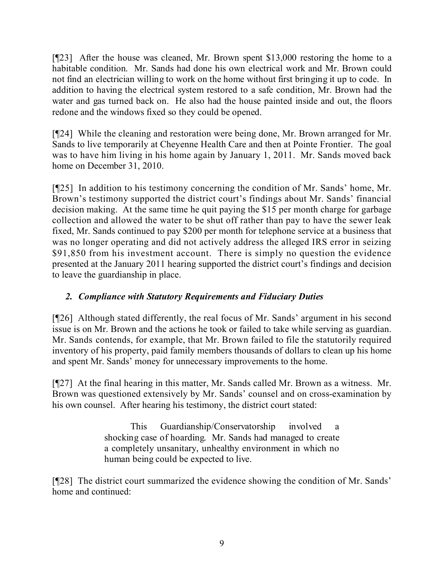[¶23] After the house was cleaned, Mr. Brown spent \$13,000 restoring the home to a habitable condition. Mr. Sands had done his own electrical work and Mr. Brown could not find an electrician willing to work on the home without first bringing it up to code. In addition to having the electrical system restored to a safe condition, Mr. Brown had the water and gas turned back on. He also had the house painted inside and out, the floors redone and the windows fixed so they could be opened.

[¶24] While the cleaning and restoration were being done, Mr. Brown arranged for Mr. Sands to live temporarily at Cheyenne Health Care and then at Pointe Frontier. The goal was to have him living in his home again by January 1, 2011. Mr. Sands moved back home on December 31, 2010.

[¶25] In addition to his testimony concerning the condition of Mr. Sands' home, Mr. Brown's testimony supported the district court's findings about Mr. Sands' financial decision making. At the same time he quit paying the \$15 per month charge for garbage collection and allowed the water to be shut off rather than pay to have the sewer leak fixed, Mr. Sands continued to pay \$200 per month for telephone service at a business that was no longer operating and did not actively address the alleged IRS error in seizing \$91,850 from his investment account. There is simply no question the evidence presented at the January 2011 hearing supported the district court's findings and decision to leave the guardianship in place.

# *2. Compliance with Statutory Requirements and Fiduciary Duties*

[¶26] Although stated differently, the real focus of Mr. Sands' argument in his second issue is on Mr. Brown and the actions he took or failed to take while serving as guardian. Mr. Sands contends, for example, that Mr. Brown failed to file the statutorily required inventory of his property, paid family members thousands of dollars to clean up his home and spent Mr. Sands' money for unnecessary improvements to the home.

[¶27] At the final hearing in this matter, Mr. Sands called Mr. Brown as a witness. Mr. Brown was questioned extensively by Mr. Sands' counsel and on cross-examination by his own counsel. After hearing his testimony, the district court stated:

> This Guardianship/Conservatorship involved a shocking case of hoarding. Mr. Sands had managed to create a completely unsanitary, unhealthy environment in which no human being could be expected to live.

[¶28] The district court summarized the evidence showing the condition of Mr. Sands' home and continued: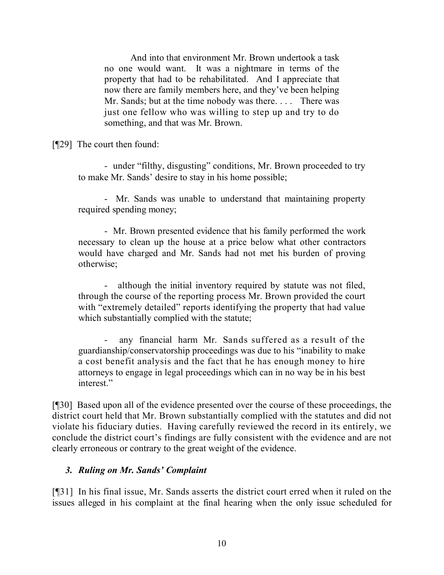And into that environment Mr. Brown undertook a task no one would want. It was a nightmare in terms of the property that had to be rehabilitated. And I appreciate that now there are family members here, and they've been helping Mr. Sands; but at the time nobody was there. . . . There was just one fellow who was willing to step up and try to do something, and that was Mr. Brown.

[¶29] The court then found:

- under "filthy, disgusting" conditions, Mr. Brown proceeded to try to make Mr. Sands' desire to stay in his home possible;

- Mr. Sands was unable to understand that maintaining property required spending money;

- Mr. Brown presented evidence that his family performed the work necessary to clean up the house at a price below what other contractors would have charged and Mr. Sands had not met his burden of proving otherwise;

although the initial inventory required by statute was not filed, through the course of the reporting process Mr. Brown provided the court with "extremely detailed" reports identifying the property that had value which substantially complied with the statute;

any financial harm Mr. Sands suffered as a result of the guardianship/conservatorship proceedings was due to his "inability to make a cost benefit analysis and the fact that he has enough money to hire attorneys to engage in legal proceedings which can in no way be in his best interest."

[¶30] Based upon all of the evidence presented over the course of these proceedings, the district court held that Mr. Brown substantially complied with the statutes and did not violate his fiduciary duties. Having carefully reviewed the record in its entirely, we conclude the district court's findings are fully consistent with the evidence and are not clearly erroneous or contrary to the great weight of the evidence.

# *3. Ruling on Mr. Sands' Complaint*

[¶31] In his final issue, Mr. Sands asserts the district court erred when it ruled on the issues alleged in his complaint at the final hearing when the only issue scheduled for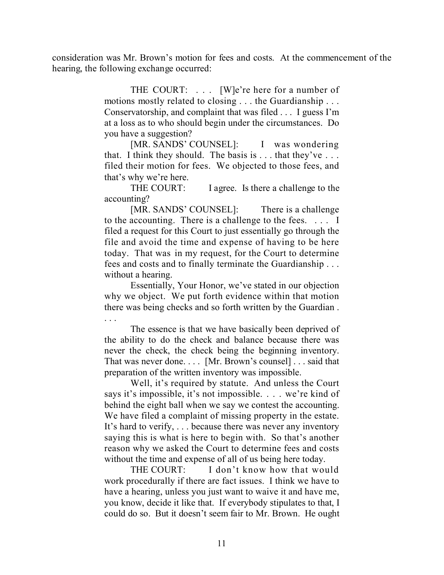consideration was Mr. Brown's motion for fees and costs. At the commencement of the hearing, the following exchange occurred:

> THE COURT: ... [W]e're here for a number of motions mostly related to closing . . . the Guardianship . . . Conservatorship, and complaint that was filed . . . I guess I'm at a loss as to who should begin under the circumstances. Do you have a suggestion?

> [MR. SANDS' COUNSEL]: I was wondering that. I think they should. The basis is  $\dots$  that they've  $\dots$ filed their motion for fees. We objected to those fees, and that's why we're here.

> THE COURT: I agree. Is there a challenge to the accounting?

> [MR. SANDS' COUNSEL]: There is a challenge to the accounting. There is a challenge to the fees. . . . I filed a request for this Court to just essentially go through the file and avoid the time and expense of having to be here today. That was in my request, for the Court to determine fees and costs and to finally terminate the Guardianship . . . without a hearing.

> Essentially, Your Honor, we've stated in our objection why we object. We put forth evidence within that motion there was being checks and so forth written by the Guardian .

. . .

The essence is that we have basically been deprived of the ability to do the check and balance because there was never the check, the check being the beginning inventory. That was never done. . . . [Mr. Brown's counsel] . . . said that preparation of the written inventory was impossible.

Well, it's required by statute. And unless the Court says it's impossible, it's not impossible. . . . we're kind of behind the eight ball when we say we contest the accounting. We have filed a complaint of missing property in the estate. It's hard to verify, . . . because there was never any inventory saying this is what is here to begin with. So that's another reason why we asked the Court to determine fees and costs without the time and expense of all of us being here today.

THE COURT: I don't know how that would work procedurally if there are fact issues. I think we have to have a hearing, unless you just want to waive it and have me, you know, decide it like that. If everybody stipulates to that, I could do so. But it doesn't seem fair to Mr. Brown. He ought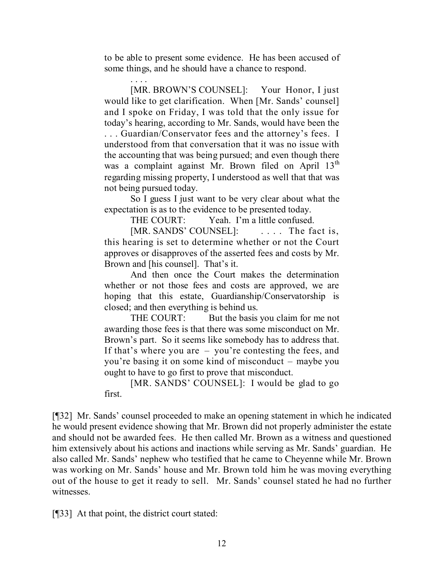to be able to present some evidence. He has been accused of some things, and he should have a chance to respond.

. . . . [MR. BROWN'S COUNSEL]: Your Honor, I just would like to get clarification. When [Mr. Sands' counsel] and I spoke on Friday, I was told that the only issue for today's hearing, according to Mr. Sands, would have been the . . . Guardian/Conservator fees and the attorney's fees. I understood from that conversation that it was no issue with the accounting that was being pursued; and even though there was a complaint against Mr. Brown filed on April 13<sup>th</sup> regarding missing property, I understood as well that that was not being pursued today.

So I guess I just want to be very clear about what the expectation is as to the evidence to be presented today.

THE COURT: Yeah. I'm a little confused.

[MR. SANDS' COUNSEL]: .... The fact is, this hearing is set to determine whether or not the Court approves or disapproves of the asserted fees and costs by Mr. Brown and [his counsel]. That's it.

And then once the Court makes the determination whether or not those fees and costs are approved, we are hoping that this estate, Guardianship/Conservatorship is closed; and then everything is behind us.

THE COURT: But the basis you claim for me not awarding those fees is that there was some misconduct on Mr. Brown's part. So it seems like somebody has to address that. If that's where you are – you're contesting the fees, and you're basing it on some kind of misconduct – maybe you ought to have to go first to prove that misconduct.

[MR. SANDS' COUNSEL]: I would be glad to go first.

[¶32] Mr. Sands' counsel proceeded to make an opening statement in which he indicated he would present evidence showing that Mr. Brown did not properly administer the estate and should not be awarded fees. He then called Mr. Brown as a witness and questioned him extensively about his actions and inactions while serving as Mr. Sands' guardian. He also called Mr. Sands' nephew who testified that he came to Cheyenne while Mr. Brown was working on Mr. Sands' house and Mr. Brown told him he was moving everything out of the house to get it ready to sell. Mr. Sands' counsel stated he had no further witnesses.

[¶33] At that point, the district court stated: